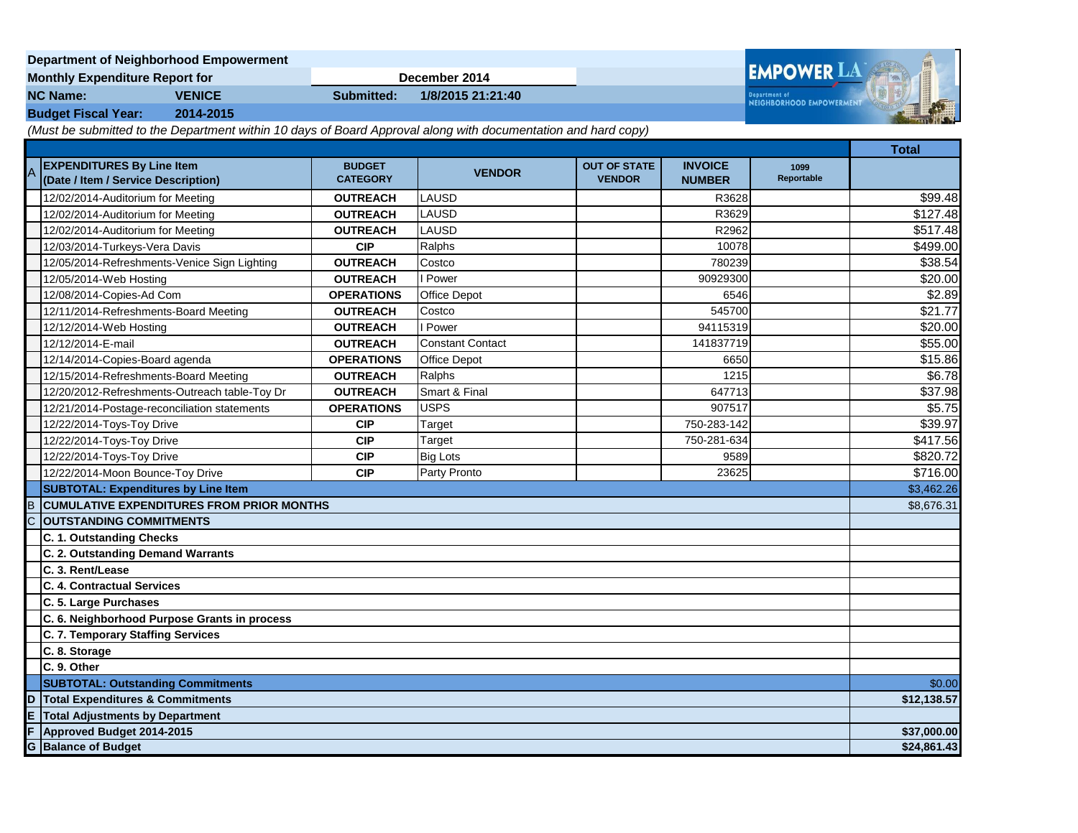| Department of Neighborhood Empowerment |               |               |                   |  |                                           |  |
|----------------------------------------|---------------|---------------|-------------------|--|-------------------------------------------|--|
| <b>Monthly Expenditure Report for</b>  |               | December 2014 |                   |  | <b>EMPOWER LAN</b>                        |  |
| <b>NC Name:</b>                        | <b>VENICE</b> | Submitted:    | 1/8/2015 21:21:40 |  | Department of<br>NEIGHBORHOOD EMPOWERMENT |  |
| <b>Budget Fiscal Year:</b>             | 2014-2015     |               |                   |  |                                           |  |

*(Must be submitted to the Department within 10 days of Board Approval along with documentation and hard copy)*

|                                             |                                                                         |                                  |                         |                                      |                                 |                    | <b>Total</b> |
|---------------------------------------------|-------------------------------------------------------------------------|----------------------------------|-------------------------|--------------------------------------|---------------------------------|--------------------|--------------|
| $\overline{A}$                              | <b>EXPENDITURES By Line Item</b><br>(Date / Item / Service Description) | <b>BUDGET</b><br><b>CATEGORY</b> | <b>VENDOR</b>           | <b>OUT OF STATE</b><br><b>VENDOR</b> | <b>INVOICE</b><br><b>NUMBER</b> | 1099<br>Reportable |              |
|                                             | 12/02/2014-Auditorium for Meeting                                       | <b>OUTREACH</b>                  | LAUSD                   |                                      | R3628                           |                    | \$99.48      |
|                                             | 12/02/2014-Auditorium for Meeting                                       | <b>OUTREACH</b>                  | LAUSD                   |                                      | R3629                           |                    | \$127.48     |
|                                             | 12/02/2014-Auditorium for Meeting                                       | <b>OUTREACH</b>                  | LAUSD                   |                                      | R2962                           |                    | \$517.48     |
|                                             | 12/03/2014-Turkeys-Vera Davis                                           | <b>CIP</b>                       | Ralphs                  |                                      | 10078                           |                    | \$499.00     |
|                                             | 12/05/2014-Refreshments-Venice Sign Lighting                            | <b>OUTREACH</b>                  | Costco                  |                                      | 780239                          |                    | \$38.54      |
|                                             | 12/05/2014-Web Hosting                                                  | <b>OUTREACH</b>                  | Power                   |                                      | 90929300                        |                    | \$20.00      |
|                                             | 12/08/2014-Copies-Ad Com                                                | <b>OPERATIONS</b>                | <b>Office Depot</b>     |                                      | 6546                            |                    | \$2.89       |
|                                             | 12/11/2014-Refreshments-Board Meeting                                   | <b>OUTREACH</b>                  | Costco                  |                                      | 545700                          |                    | \$21.77      |
|                                             | 12/12/2014-Web Hosting                                                  | <b>OUTREACH</b>                  | <b>Power</b>            |                                      | 94115319                        |                    | \$20.00      |
|                                             | 12/12/2014-E-mail                                                       | <b>OUTREACH</b>                  | <b>Constant Contact</b> |                                      | 141837719                       |                    | \$55.00      |
|                                             | 12/14/2014-Copies-Board agenda                                          | <b>OPERATIONS</b>                | <b>Office Depot</b>     |                                      | 6650                            |                    | \$15.86      |
|                                             | 12/15/2014-Refreshments-Board Meeting                                   | <b>OUTREACH</b>                  | Ralphs                  |                                      | 1215                            |                    | \$6.78       |
|                                             | 12/20/2012-Refreshments-Outreach table-Toy Dr                           | <b>OUTREACH</b>                  | Smart & Final           |                                      | 647713                          |                    | \$37.98      |
|                                             | 12/21/2014-Postage-reconciliation statements                            | <b>OPERATIONS</b>                | <b>USPS</b>             |                                      | 907517                          |                    | \$5.75       |
|                                             | 12/22/2014-Toys-Toy Drive                                               | <b>CIP</b>                       | Target                  |                                      | 750-283-142                     |                    | \$39.97      |
|                                             | 12/22/2014-Toys-Toy Drive                                               | <b>CIP</b>                       | Target                  |                                      | 750-281-634                     |                    | \$417.56     |
|                                             | 12/22/2014-Toys-Toy Drive                                               | <b>CIP</b>                       | <b>Big Lots</b>         |                                      | 9589                            |                    | \$820.72     |
|                                             | 12/22/2014-Moon Bounce-Toy Drive                                        | <b>CIP</b>                       | Party Pronto            |                                      | 23625                           |                    | \$716.00     |
|                                             | <b>SUBTOTAL: Expenditures by Line Item</b>                              |                                  |                         |                                      |                                 | \$3,462.26         |              |
| B                                           | <b>CUMULATIVE EXPENDITURES FROM PRIOR MONTHS</b>                        |                                  |                         |                                      |                                 |                    | \$8,676.31   |
|                                             | <b>OUTSTANDING COMMITMENTS</b>                                          |                                  |                         |                                      |                                 |                    |              |
|                                             | C. 1. Outstanding Checks                                                |                                  |                         |                                      |                                 |                    |              |
|                                             | C. 2. Outstanding Demand Warrants                                       |                                  |                         |                                      |                                 |                    |              |
|                                             | C. 3. Rent/Lease                                                        |                                  |                         |                                      |                                 |                    |              |
|                                             | C. 4. Contractual Services                                              |                                  |                         |                                      |                                 |                    |              |
|                                             | C. 5. Large Purchases                                                   |                                  |                         |                                      |                                 |                    |              |
|                                             | C. 6. Neighborhood Purpose Grants in process                            |                                  |                         |                                      |                                 |                    |              |
|                                             | C. 7. Temporary Staffing Services                                       |                                  |                         |                                      |                                 |                    |              |
|                                             | C. 8. Storage                                                           |                                  |                         |                                      |                                 |                    |              |
|                                             | C. 9. Other                                                             |                                  |                         |                                      |                                 |                    |              |
|                                             | <b>SUBTOTAL: Outstanding Commitments</b>                                |                                  |                         |                                      |                                 |                    | \$0.00       |
|                                             | <b>Total Expenditures &amp; Commitments</b><br>D                        |                                  |                         |                                      |                                 | \$12,138.57        |              |
| E<br><b>Total Adjustments by Department</b> |                                                                         |                                  |                         |                                      |                                 |                    |              |
|                                             | F<br>Approved Budget 2014-2015                                          |                                  |                         |                                      |                                 | \$37,000.00        |              |
|                                             | <b>G</b> Balance of Budget                                              |                                  |                         |                                      |                                 |                    | \$24,861.43  |